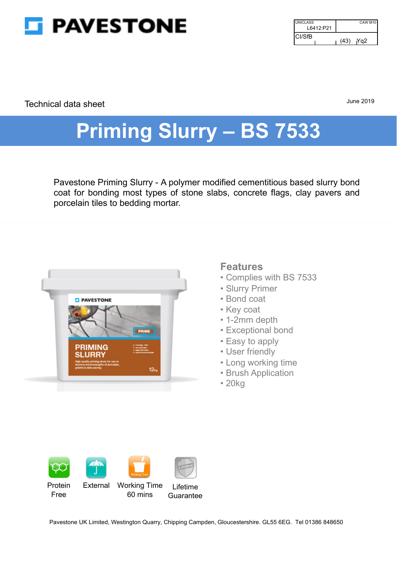

| <b>UNICLASS</b><br>L6412:P21 | CAW M10     |
|------------------------------|-------------|
| ICI/SfB                      | (43)<br>Ya2 |

Technical data sheet

June 2019

# **Priming Slurry – BS 7533**

Pavestone Priming Slurry - A polymer modified cementitious based slurry bond coat for bonding most types of stone slabs, concrete flags, clay pavers and porcelain tiles to bedding mortar.



# **Features**

- Complies with BS 7533
- Slurry Primer
- Bond coat
- Key coat
- 1-2mm depth
- Exceptional bond
- Easy to apply
- User friendly
- Long working time
- Brush Application
- 20kg